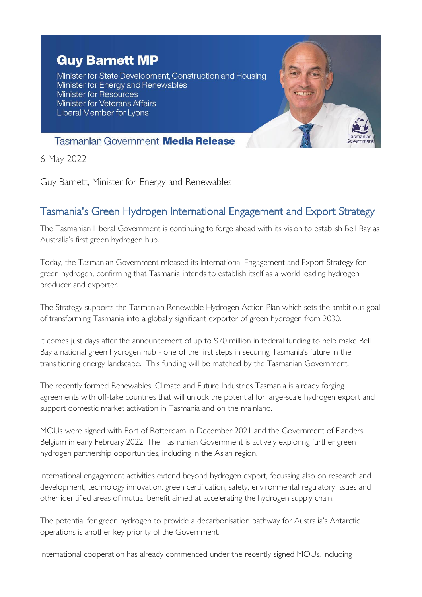## **Guy Barnett MP**

Minister for State Development, Construction and Housing Minister for Energy and Renewables Minister for Resources **Minister for Veterans Affairs** Liberal Member for Lyons



## **Tasmanian Government Media Release**

6 May 2022

Guy Barnett, Minister for Energy and Renewables

## Tasmania's Green Hydrogen International Engagement and Export Strategy

The Tasmanian Liberal Government is continuing to forge ahead with its vision to establish Bell Bay as Australia's first green hydrogen hub.

Today, the Tasmanian Government released its International Engagement and Export Strategy for green hydrogen, confirming that Tasmania intends to establish itself as a world leading hydrogen producer and exporter.

The Strategy supports the Tasmanian Renewable Hydrogen Action Plan which sets the ambitious goal of transforming Tasmania into a globally significant exporter of green hydrogen from 2030.

It comes just days after the announcement of up to \$70 million in federal funding to help make Bell Bay a national green hydrogen hub - one of the first steps in securing Tasmania's future in the transitioning energy landscape. This funding will be matched by the Tasmanian Government.

The recently formed Renewables, Climate and Future Industries Tasmania is already forging agreements with off-take countries that will unlock the potential for large-scale hydrogen export and support domestic market activation in Tasmania and on the mainland.

MOUs were signed with Port of Rotterdam in December 2021 and the Government of Flanders, Belgium in early February 2022. The Tasmanian Government is actively exploring further green hydrogen partnership opportunities, including in the Asian region.

International engagement activities extend beyond hydrogen export, focussing also on research and development, technology innovation, green certification, safety, environmental regulatory issues and other identified areas of mutual benefit aimed at accelerating the hydrogen supply chain.

The potential for green hydrogen to provide a decarbonisation pathway for Australia's Antarctic operations is another key priority of the Government.

International cooperation has already commenced under the recently signed MOUs, including